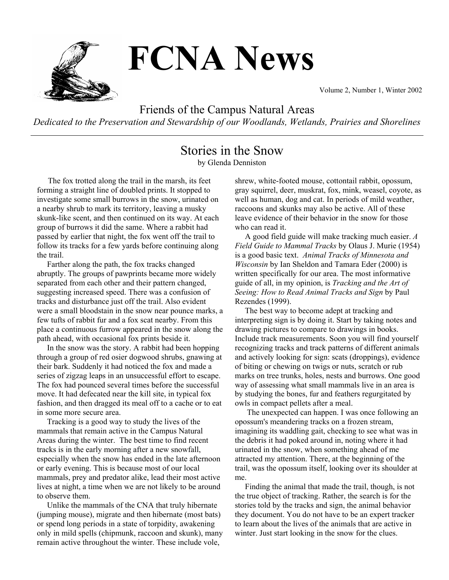

# **FCNA News**

Volume 2, Number 1, Winter 2002

Friends of the Campus Natural Areas

*Dedicated to the Preservation and Stewardship of our Woodlands, Wetlands, Prairies and Shorelines*

# Stories in the Snow

by Glenda Denniston

 The fox trotted along the trail in the marsh, its feet forming a straight line of doubled prints. It stopped to investigate some small burrows in the snow, urinated on a nearby shrub to mark its territory, leaving a musky skunk-like scent, and then continued on its way. At each group of burrows it did the same. Where a rabbit had passed by earlier that night, the fox went off the trail to follow its tracks for a few yards before continuing along the trail.

 Farther along the path, the fox tracks changed abruptly. The groups of pawprints became more widely separated from each other and their pattern changed, suggesting increased speed. There was a confusion of tracks and disturbance just off the trail. Also evident were a small bloodstain in the snow near pounce marks, a few tufts of rabbit fur and a fox scat nearby. From this place a continuous furrow appeared in the snow along the path ahead, with occasional fox prints beside it.

 In the snow was the story. A rabbit had been hopping through a group of red osier dogwood shrubs, gnawing at their bark. Suddenly it had noticed the fox and made a series of zigzag leaps in an unsuccessful effort to escape. The fox had pounced several times before the successful move. It had defecated near the kill site, in typical fox fashion, and then dragged its meal off to a cache or to eat in some more secure area.

 Tracking is a good way to study the lives of the mammals that remain active in the Campus Natural Areas during the winter. The best time to find recent tracks is in the early morning after a new snowfall, especially when the snow has ended in the late afternoon or early evening. This is because most of our local mammals, prey and predator alike, lead their most active lives at night, a time when we are not likely to be around to observe them.

 Unlike the mammals of the CNA that truly hibernate (jumping mouse), migrate and then hibernate (most bats) or spend long periods in a state of torpidity, awakening only in mild spells (chipmunk, raccoon and skunk), many remain active throughout the winter. These include vole,

shrew, white-footed mouse, cottontail rabbit, opossum, gray squirrel, deer, muskrat, fox, mink, weasel, coyote, as well as human, dog and cat. In periods of mild weather, raccoons and skunks may also be active. All of these leave evidence of their behavior in the snow for those who can read it.

 A good field guide will make tracking much easier. *A Field Guide to Mammal Tracks* by Olaus J. Murie (1954) is a good basic text. *Animal Tracks of Minnesota and Wisconsin* by Ian Sheldon and Tamara Eder (2000) is written specifically for our area. The most informative guide of all, in my opinion, is *Tracking and the Art of Seeing: How to Read Animal Tracks and Sign* by Paul Rezendes (1999).

 The best way to become adept at tracking and interpreting sign is by doing it. Start by taking notes and drawing pictures to compare to drawings in books. Include track measurements. Soon you will find yourself recognizing tracks and track patterns of different animals and actively looking for sign: scats (droppings), evidence of biting or chewing on twigs or nuts, scratch or rub marks on tree trunks, holes, nests and burrows. One good way of assessing what small mammals live in an area is by studying the bones, fur and feathers regurgitated by owls in compact pellets after a meal.

 The unexpected can happen. I was once following an opossum's meandering tracks on a frozen stream, imagining its waddling gait, checking to see what was in the debris it had poked around in, noting where it had urinated in the snow, when something ahead of me attracted my attention. There, at the beginning of the trail, was the opossum itself, looking over its shoulder at me.

 Finding the animal that made the trail, though, is not the true object of tracking. Rather, the search is for the stories told by the tracks and sign, the animal behavior they document. You do not have to be an expert tracker to learn about the lives of the animals that are active in winter. Just start looking in the snow for the clues.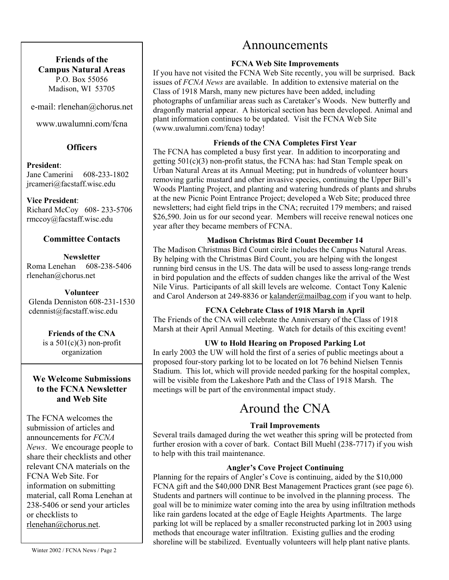**Friends of the Campus Natural Areas**  P.O. Box 55056 Madison, WI 53705

e-mail: rlenehan@chorus.net

www.uwalumni.com/fcna

### **Officers**

#### **President**:

Jane Camerini 608-233-1802 jrcameri@facstaff.wisc.edu

### **Vice President**:

Richard McCoy 608- 233-5706 rmccoy@facstaff.wisc.edu

### **Committee Contacts**

### **Newsletter**  Roma Lenehan 608-238-5406 rlenehan@chorus.net

**Volunteer** Glenda Denniston 608-231-1530 cdennist@facstaff.wisc.edu

> **Friends of the CNA**  is a  $501(c)(3)$  non-profit organization

### **We Welcome Submissions to the FCNA Newsletter and Web Site**

rlenehan@chorus.net. The FCNA welcomes the submission of articles and announcements for *FCNA News*. We encourage people to share their checklists and other relevant CNA materials on the FCNA Web Site. For information on submitting material, call Roma Lenehan at 238-5406 or send your articles or checklists to

## Announcements

### **FCNA Web Site Improvements**

If you have not visited the FCNA Web Site recently, you will be surprised. Back issues of *FCNA News* are available. In addition to extensive material on the Class of 1918 Marsh, many new pictures have been added, including photographs of unfamiliar areas such as Caretaker's Woods. New butterfly and dragonfly material appear. A historical section has been developed. Animal and plant information continues to be updated. Visit the FCNA Web Site (www.uwalumni.com/fcna) today!

### **Friends of the CNA Completes First Year**

The FCNA has completed a busy first year. In addition to incorporating and getting  $501(c)(3)$  non-profit status, the FCNA has: had Stan Temple speak on Urban Natural Areas at its Annual Meeting; put in hundreds of volunteer hours removing garlic mustard and other invasive species, continuing the Upper Bill's Woods Planting Project, and planting and watering hundreds of plants and shrubs at the new Picnic Point Entrance Project; developed a Web Site; produced three newsletters; had eight field trips in the CNA; recruited 179 members; and raised \$26,590. Join us for our second year. Members will receive renewal notices one year after they became members of FCNA.

### **Madison Christmas Bird Count December 14**

The Madison Christmas Bird Count circle includes the Campus Natural Areas. By helping with the Christmas Bird Count, you are helping with the longest running bird census in the US. The data will be used to assess long-range trends in bird population and the effects of sudden changes like the arrival of the West Nile Virus. Participants of all skill levels are welcome. Contact Tony Kalenic and Carol Anderson at 249-8836 or kalander@mailbag.com if you want to help.

### **FCNA Celebrate Class of 1918 Marsh in April**

The Friends of the CNA will celebrate the Anniversary of the Class of 1918 Marsh at their April Annual Meeting. Watch for details of this exciting event!

### **UW to Hold Hearing on Proposed Parking Lot**

In early 2003 the UW will hold the first of a series of public meetings about a proposed four-story parking lot to be located on lot 76 behind Nielsen Tennis Stadium. This lot, which will provide needed parking for the hospital complex, will be visible from the Lakeshore Path and the Class of 1918 Marsh. The meetings will be part of the environmental impact study.

# Around the CNA

### **Trail Improvements**

Several trails damaged during the wet weather this spring will be protected from further erosion with a cover of bark. Contact Bill Muehl (238-7717) if you wish to help with this trail maintenance.

### **Angler's Cove Project Continuing**

Planning for the repairs of Angler's Cove is continuing, aided by the \$10,000 FCNA gift and the \$40,000 DNR Best Management Practices grant (see page 6). Students and partners will continue to be involved in the planning process. The goal will be to minimize water coming into the area by using infiltration methods like rain gardens located at the edge of Eagle Heights Apartments. The large parking lot will be replaced by a smaller reconstructed parking lot in 2003 using methods that encourage water infiltration. Existing gullies and the eroding shoreline will be stabilized. Eventually volunteers will help plant native plants.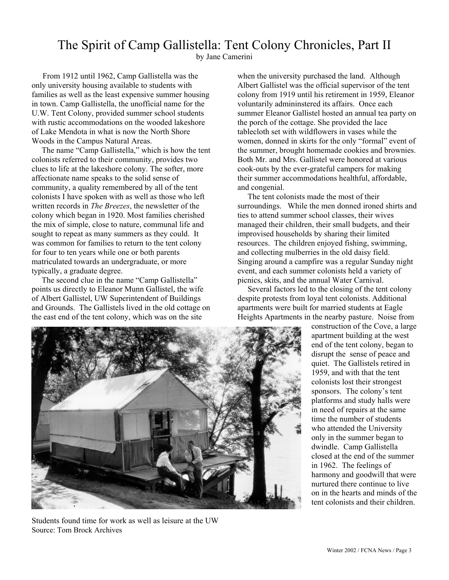### The Spirit of Camp Gallistella: Tent Colony Chronicles, Part II

by Jane Camerini

 From 1912 until 1962, Camp Gallistella was the only university housing available to students with families as well as the least expensive summer housing in town. Camp Gallistella, the unofficial name for the U.W. Tent Colony, provided summer school students with rustic accommodations on the wooded lakeshore of Lake Mendota in what is now the North Shore Woods in the Campus Natural Areas.

 The name "Camp Gallistella," which is how the tent colonists referred to their community, provides two clues to life at the lakeshore colony. The softer, more affectionate name speaks to the solid sense of community, a quality remembered by all of the tent colonists I have spoken with as well as those who left written records in *The Breezes*, the newsletter of the colony which began in 1920. Most families cherished the mix of simple, close to nature, communal life and sought to repeat as many summers as they could. It was common for families to return to the tent colony for four to ten years while one or both parents matriculated towards an undergraduate, or more typically, a graduate degree.

 The second clue in the name "Camp Gallistella" points us directly to Eleanor Munn Gallistel, the wife of Albert Gallistel, UW Superintendent of Buildings and Grounds. The Gallistels lived in the old cottage on the east end of the tent colony, which was on the site

when the university purchased the land. Although Albert Gallistel was the official supervisor of the tent colony from 1919 until his retirement in 1959, Eleanor voluntarily admininstered its affairs. Once each summer Eleanor Gallistel hosted an annual tea party on the porch of the cottage. She provided the lace tablecloth set with wildflowers in vases while the women, donned in skirts for the only "formal" event of the summer, brought homemade cookies and brownies. Both Mr. and Mrs. Gallistel were honored at various cook-outs by the ever-grateful campers for making their summer accommodations healthful, affordable, and congenial.

 The tent colonists made the most of their surroundings. While the men donned ironed shirts and ties to attend summer school classes, their wives managed their children, their small budgets, and their improvised households by sharing their limited resources. The children enjoyed fishing, swimming, and collecting mulberries in the old daisy field. Singing around a campfire was a regular Sunday night event, and each summer colonists held a variety of picnics, skits, and the annual Water Carnival.

 Several factors led to the closing of the tent colony despite protests from loyal tent colonists. Additional apartments were built for married students at Eagle Heights Apartments in the nearby pasture. Noise from



Students found time for work as well as leisure at the UW Source: Tom Brock Archives

construction of the Cove, a large apartment building at the west end of the tent colony, began to disrupt the sense of peace and quiet. The Gallistels retired in 1959, and with that the tent colonists lost their strongest sponsors. The colony's tent platforms and study halls were in need of repairs at the same time the number of students who attended the University only in the summer began to dwindle. Camp Gallistella closed at the end of the summer in 1962. The feelings of harmony and goodwill that were nurtured there continue to live on in the hearts and minds of the tent colonists and their children.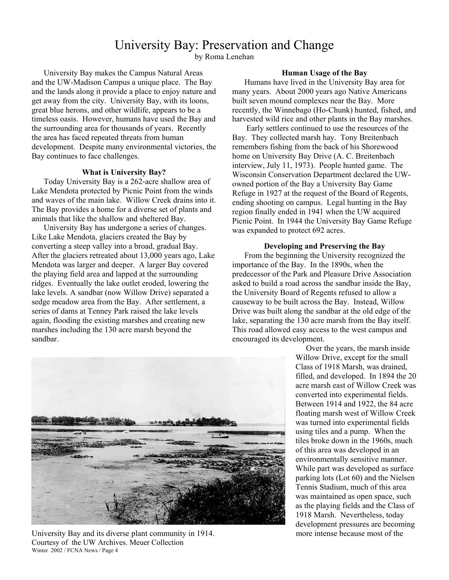### University Bay: Preservation and Change

by Roma Lenehan

 University Bay makes the Campus Natural Areas and the UW-Madison Campus a unique place. The Bay and the lands along it provide a place to enjoy nature and get away from the city. University Bay, with its loons, great blue herons, and other wildlife, appears to be a timeless oasis. However, humans have used the Bay and the surrounding area for thousands of years. Recently the area has faced repeated threats from human development. Despite many environmental victories, the Bay continues to face challenges.

#### **What is University Bay?**

Today University Bay is a 262-acre shallow area of Lake Mendota protected by Picnic Point from the winds and waves of the main lake. Willow Creek drains into it. The Bay provides a home for a diverse set of plants and animals that like the shallow and sheltered Bay.

 University Bay has undergone a series of changes. Like Lake Mendota, glaciers created the Bay by converting a steep valley into a broad, gradual Bay. After the glaciers retreated about 13,000 years ago, Lake Mendota was larger and deeper. A larger Bay covered the playing field area and lapped at the surrounding ridges. Eventually the lake outlet eroded, lowering the lake levels. A sandbar (now Willow Drive) separated a sedge meadow area from the Bay. After settlement, a series of dams at Tenney Park raised the lake levels again, flooding the existing marshes and creating new marshes including the 130 acre marsh beyond the sandbar.



Winter 2002 / FCNA News / Page 4 University Bay and its diverse plant community in 1914. Courtesy of the UW Archives. Meuer Collection

### **Human Usage of the Bay**

 Humans have lived in the University Bay area for many years. About 2000 years ago Native Americans built seven mound complexes near the Bay. More recently, the Winnebago (Ho-Chunk) hunted, fished, and harvested wild rice and other plants in the Bay marshes.

 Early settlers continued to use the resources of the Bay. They collected marsh hay. Tony Breitenbach remembers fishing from the back of his Shorewood home on University Bay Drive (A. C. Breitenbach interview, July 11, 1973). People hunted game. The Wisconsin Conservation Department declared the UWowned portion of the Bay a University Bay Game Refuge in 1927 at the request of the Board of Regents, ending shooting on campus. Legal hunting in the Bay region finally ended in 1941 when the UW acquired Picnic Point. In 1944 the University Bay Game Refuge was expanded to protect 692 acres.

#### **Developing and Preserving the Bay**

From the beginning the University recognized the importance of the Bay. In the 1890s, when the predecessor of the Park and Pleasure Drive Association asked to build a road across the sandbar inside the Bay, the University Board of Regents refused to allow a causeway to be built across the Bay. Instead, Willow Drive was built along the sandbar at the old edge of the lake, separating the 130 acre marsh from the Bay itself. This road allowed easy access to the west campus and encouraged its development.

> Over the years, the marsh inside Willow Drive, except for the small Class of 1918 Marsh, was drained, filled, and developed. In 1894 the 20 acre marsh east of Willow Creek was converted into experimental fields. Between 1914 and 1922, the 84 acre floating marsh west of Willow Creek was turned into experimental fields using tiles and a pump. When the tiles broke down in the 1960s, much of this area was developed in an environmentally sensitive manner. While part was developed as surface parking lots (Lot 60) and the Nielsen Tennis Stadium, much of this area was maintained as open space, such as the playing fields and the Class of 1918 Marsh. Nevertheless, today development pressures are becoming more intense because most of the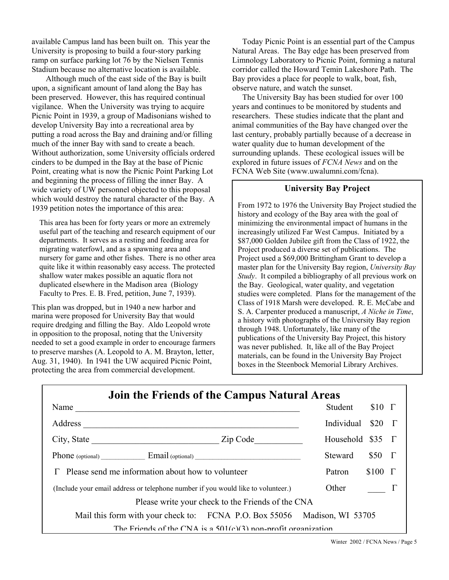available Campus land has been built on. This year the University is proposing to build a four-story parking ramp on surface parking lot 76 by the Nielsen Tennis Stadium because no alternative location is available.

 Although much of the east side of the Bay is built upon, a significant amount of land along the Bay has been preserved. However, this has required continual vigilance. When the University was trying to acquire Picnic Point in 1939, a group of Madisonians wished to develop University Bay into a recreational area by putting a road across the Bay and draining and/or filling much of the inner Bay with sand to create a beach. Without authorization, some University officials ordered cinders to be dumped in the Bay at the base of Picnic Point, creating what is now the Picnic Point Parking Lot and beginning the process of filling the inner Bay. A wide variety of UW personnel objected to this proposal which would destroy the natural character of the Bay. A 1939 petition notes the importance of this area:

 This area has been for forty years or more an extremely useful part of the teaching and research equipment of our departments. It serves as a resting and feeding area for migrating waterfowl, and as a spawning area and nursery for game and other fishes. There is no other area quite like it within reasonably easy access. The protected shallow water makes possible an aquatic flora not duplicated elsewhere in the Madison area (Biology Faculty to Pres. E. B. Fred, petition, June 7, 1939).

This plan was dropped, but in 1940 a new harbor and marina were proposed for University Bay that would require dredging and filling the Bay. Aldo Leopold wrote in opposition to the proposal, noting that the University needed to set a good example in order to encourage farmers to preserve marshes (A. Leopold to A. M. Brayton, letter, Aug. 31, 1940). In 1941 the UW acquired Picnic Point, protecting the area from commercial development.

 Today Picnic Point is an essential part of the Campus Natural Areas. The Bay edge has been preserved from Limnology Laboratory to Picnic Point, forming a natural corridor called the Howard Temin Lakeshore Path. The Bay provides a place for people to walk, boat, fish, observe nature, and watch the sunset.

 The University Bay has been studied for over 100 years and continues to be monitored by students and researchers. These studies indicate that the plant and animal communities of the Bay have changed over the last century, probably partially because of a decrease in water quality due to human development of the surrounding uplands. These ecological issues will be explored in future issues of *FCNA News* and on the FCNA Web Site (www.uwalumni.com/fcna).

### **University Bay Project**

From 1972 to 1976 the University Bay Project studied the history and ecology of the Bay area with the goal of minimizing the environmental impact of humans in the increasingly utilized Far West Campus. Initiated by a \$87,000 Golden Jubilee gift from the Class of 1922, the Project produced a diverse set of publications. The Project used a \$69,000 Brittingham Grant to develop a master plan for the University Bay region, *University Bay Study*. It compiled a bibliography of all previous work on the Bay. Geological, water quality, and vegetation studies were completed. Plans for the management of the Class of 1918 Marsh were developed. R. E. McCabe and S. A. Carpenter produced a manuscript, *A Niche in Time*, a history with photographs of the University Bay region through 1948. Unfortunately, like many of the publications of the University Bay Project, this history was never published. It, like all of the Bay Project materials, can be found in the University Bay Project boxes in the Steenbock Memorial Library Archives.

| Join the Friends of the Campus Natural Areas                                     |                           |
|----------------------------------------------------------------------------------|---------------------------|
| Name                                                                             | Student<br>$$10$ $\Gamma$ |
| Address                                                                          | Individual $$20$ $\Gamma$ |
| City, State<br>Zip Code                                                          | Household $$35$ $\Gamma$  |
| Phone (optional) Email (optional)                                                | $$50$ $\Gamma$<br>Steward |
| Please send me information about how to volunteer                                | $$100$ $\Gamma$<br>Patron |
| (Include your email address or telephone number if you would like to volunteer.) | Other                     |
| Please write your check to the Friends of the CNA                                |                           |
| Mail this form with your check to: FCNA P.O. Box 55056 Madison, WI 53705         |                           |
| The Friends of the CNA is a $501(c)(3)$ non-profit organization                  |                           |